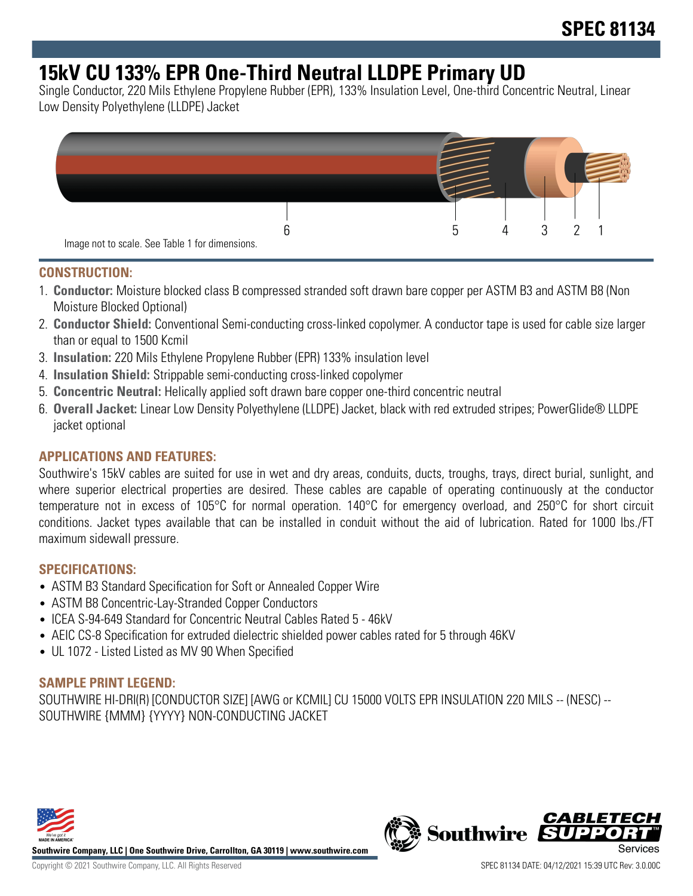# **15kV CU 133% EPR One-Third Neutral LLDPE Primary UD**

Single Conductor, 220 Mils Ethylene Propylene Rubber (EPR), 133% Insulation Level, One-third Concentric Neutral, Linear Low Density Polyethylene (LLDPE) Jacket



#### **CONSTRUCTION:**

- 1. **Conductor:** Moisture blocked class B compressed stranded soft drawn bare copper per ASTM B3 and ASTM B8 (Non Moisture Blocked Optional)
- 2. **Conductor Shield:** Conventional Semi-conducting cross-linked copolymer. A conductor tape is used for cable size larger than or equal to 1500 Kcmil
- 3. **Insulation:** 220 Mils Ethylene Propylene Rubber (EPR) 133% insulation level
- 4. **Insulation Shield:** Strippable semi-conducting cross-linked copolymer
- 5. **Concentric Neutral:** Helically applied soft drawn bare copper one-third concentric neutral
- 6. **Overall Jacket:** Linear Low Density Polyethylene (LLDPE) Jacket, black with red extruded stripes; PowerGlide® LLDPE jacket optional

### **APPLICATIONS AND FEATURES:**

Southwire's 15kV cables are suited for use in wet and dry areas, conduits, ducts, troughs, trays, direct burial, sunlight, and where superior electrical properties are desired. These cables are capable of operating continuously at the conductor temperature not in excess of 105°C for normal operation. 140°C for emergency overload, and 250°C for short circuit conditions. Jacket types available that can be installed in conduit without the aid of lubrication. Rated for 1000 lbs./FT maximum sidewall pressure.

#### **SPECIFICATIONS:**

- ASTM B3 Standard Specification for Soft or Annealed Copper Wire
- ASTM B8 Concentric-Lay-Stranded Copper Conductors
- ICEA S-94-649 Standard for Concentric Neutral Cables Rated 5 46kV
- AEIC CS-8 Specification for extruded dielectric shielded power cables rated for 5 through 46KV
- UL 1072 Listed Listed as MV 90 When Specified

#### **SAMPLE PRINT LEGEND:**

SOUTHWIRE HI-DRI(R) [CONDUCTOR SIZE] [AWG or KCMIL] CU 15000 VOLTS EPR INSULATION 220 MILS -- (NESC) -- SOUTHWIRE {MMM} {YYYY} NON-CONDUCTING JACKET



**Southwire Company, LLC | One Southwire Drive, Carrollton, GA 30119 | www.southwire.com**

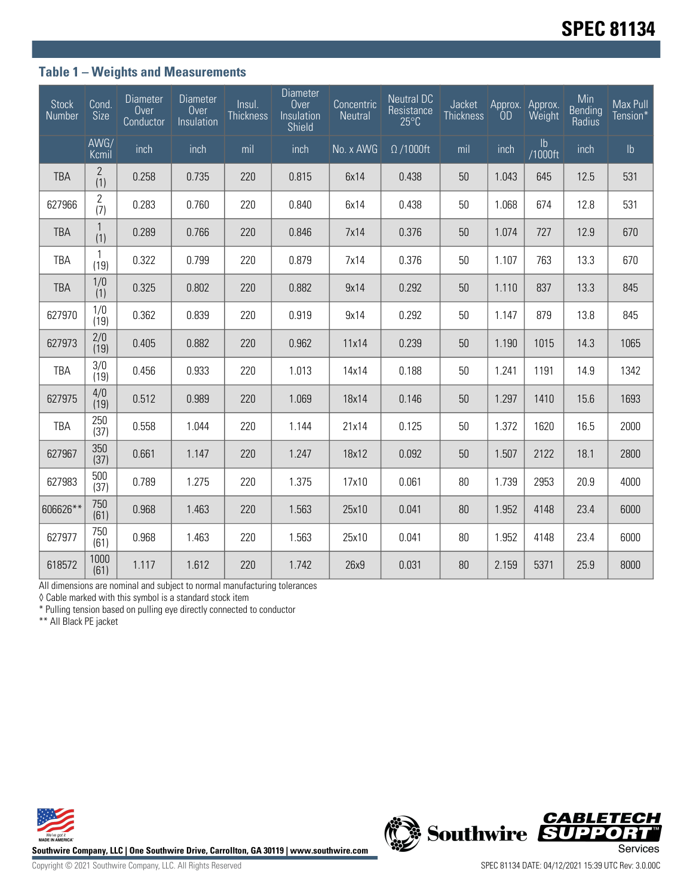### **Table 1 – Weights and Measurements**

| <b>Stock</b><br>Number | Cond.<br>Size         | <b>Diameter</b><br>Over<br>Conductor | <b>Diameter</b><br>Over<br>Insulation | Insul.<br><b>Thickness</b> | <b>Diameter</b><br>Over<br>Insulation<br><b>Shield</b> | Concentric<br>Neutral | <b>Neutral DC</b><br>Resistance<br>$25^{\circ}$ C | Jacket<br><b>Thickness</b> | ÒD    | Approx. Approx.<br>Weight | Min<br><b>Bending</b><br>Radius | Max Pull<br>Tension* |
|------------------------|-----------------------|--------------------------------------|---------------------------------------|----------------------------|--------------------------------------------------------|-----------------------|---------------------------------------------------|----------------------------|-------|---------------------------|---------------------------------|----------------------|
|                        | AWG/<br>Kcmil         | inch                                 | inch                                  | mil                        | inch                                                   | No. x AWG             | $\Omega$ /1000ft                                  | mil                        | inch  | $\mathsf{lb}$<br>/1000ft  | inch                            | $\mathsf{lb}$        |
| <b>TBA</b>             | $\mathbf{2}$<br>(1)   | 0.258                                | 0.735                                 | 220                        | 0.815                                                  | 6x14                  | 0.438                                             | 50                         | 1.043 | 645                       | 12.5                            | 531                  |
| 627966                 | $\overline{2}$<br>(7) | 0.283                                | 0.760                                 | 220                        | 0.840                                                  | 6x14                  | 0.438                                             | 50                         | 1.068 | 674                       | 12.8                            | 531                  |
| <b>TBA</b>             | $\mathbf{1}$<br>(1)   | 0.289                                | 0.766                                 | 220                        | 0.846                                                  | 7x14                  | 0.376                                             | 50                         | 1.074 | 727                       | 12.9                            | 670                  |
| <b>TBA</b>             | $\mathbf{1}$<br>(19)  | 0.322                                | 0.799                                 | 220                        | 0.879                                                  | 7x14                  | 0.376                                             | 50                         | 1.107 | 763                       | 13.3                            | 670                  |
| <b>TBA</b>             | 1/0<br>(1)            | 0.325                                | 0.802                                 | 220                        | 0.882                                                  | 9x14                  | 0.292                                             | 50                         | 1.110 | 837                       | 13.3                            | 845                  |
| 627970                 | 1/0<br>(19)           | 0.362                                | 0.839                                 | 220                        | 0.919                                                  | 9x14                  | 0.292                                             | 50                         | 1.147 | 879                       | 13.8                            | 845                  |
| 627973                 | 2/0<br>(19)           | 0.405                                | 0.882                                 | 220                        | 0.962                                                  | 11x14                 | 0.239                                             | 50                         | 1.190 | 1015                      | 14.3                            | 1065                 |
| TBA                    | 3/0<br>(19)           | 0.456                                | 0.933                                 | 220                        | 1.013                                                  | 14x14                 | 0.188                                             | 50                         | 1.241 | 1191                      | 14.9                            | 1342                 |
| 627975                 | 4/0<br>(19)           | 0.512                                | 0.989                                 | 220                        | 1.069                                                  | 18x14                 | 0.146                                             | 50                         | 1.297 | 1410                      | 15.6                            | 1693                 |
| TBA                    | 250<br>(37)           | 0.558                                | 1.044                                 | 220                        | 1.144                                                  | 21x14                 | 0.125                                             | 50                         | 1.372 | 1620                      | 16.5                            | 2000                 |
| 627967                 | 350<br>(37)           | 0.661                                | 1.147                                 | 220                        | 1.247                                                  | 18x12                 | 0.092                                             | 50                         | 1.507 | 2122                      | 18.1                            | 2800                 |
| 627983                 | 500<br>(37)           | 0.789                                | 1.275                                 | 220                        | 1.375                                                  | 17x10                 | 0.061                                             | 80                         | 1.739 | 2953                      | 20.9                            | 4000                 |
| 606626**               | 750<br>(61)           | 0.968                                | 1.463                                 | 220                        | 1.563                                                  | 25x10                 | 0.041                                             | 80                         | 1.952 | 4148                      | 23.4                            | 6000                 |
| 627977                 | 750<br>(61)           | 0.968                                | 1.463                                 | 220                        | 1.563                                                  | 25x10                 | 0.041                                             | 80                         | 1.952 | 4148                      | 23.4                            | 6000                 |
| 618572                 | 1000<br>(61)          | 1.117                                | 1.612                                 | 220                        | 1.742                                                  | 26x9                  | 0.031                                             | 80                         | 2.159 | 5371                      | 25.9                            | 8000                 |

All dimensions are nominal and subject to normal manufacturing tolerances

◊ Cable marked with this symbol is a standard stock item

\* Pulling tension based on pulling eye directly connected to conductor

\*\* All Black PE jacket



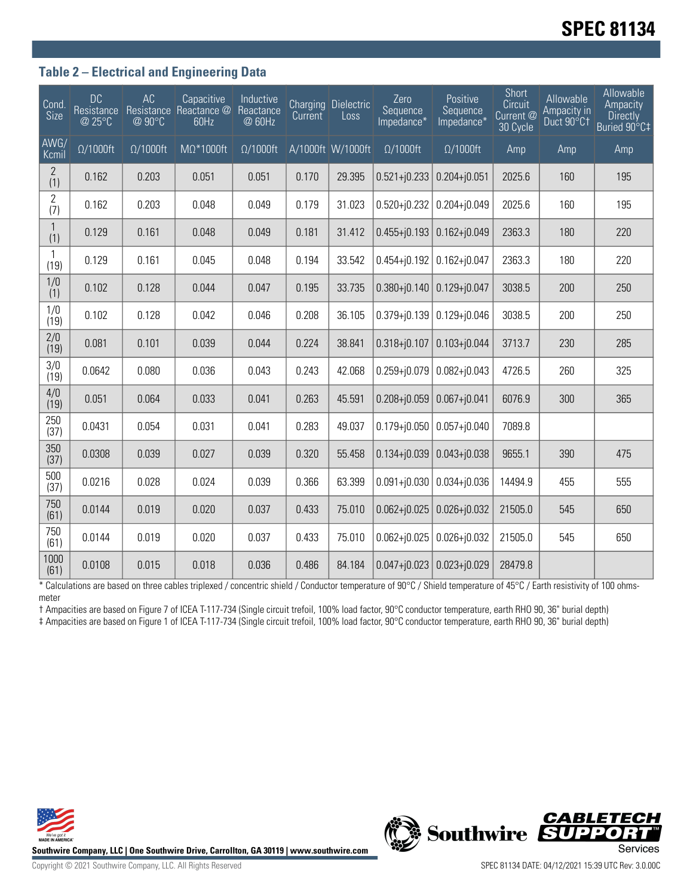# **SPEC 81134**

### **Table 2 – Electrical and Engineering Data**

| Cond<br>Size          | <b>DC</b><br>Resistance<br>@ 25°C | AC<br>@ 90°C     | Capacitive<br>Resistance Reactance @<br>60Hz | Inductive<br>Reactance<br>@ 60Hz | Current | <b>Charging Dielectric</b><br>Loss | Zero<br>Sequence<br>Impedance* | Positive<br>Sequence<br>Impedance* | Short<br>Circuit<br>Current @<br>30 Cycle | Allowable<br>Ampacity in<br>Duct 90°C1 | Allowable<br>Ampacity<br><b>Directly</b><br>Buried 90°C‡ |
|-----------------------|-----------------------------------|------------------|----------------------------------------------|----------------------------------|---------|------------------------------------|--------------------------------|------------------------------------|-------------------------------------------|----------------------------------------|----------------------------------------------------------|
| AWG/<br>Kcmil         | $\Omega/1000$ ft                  | $\Omega/1000$ ft | $M\Omega^*1000$ ft                           | $\Omega/1000$ ft                 |         | A/1000ft W/1000ft                  | $\Omega/1000$ ft               | $\Omega/1000$ ft                   | Amp                                       | Amp                                    | Amp                                                      |
| $\mathbf{2}$<br>(1)   | 0.162                             | 0.203            | 0.051                                        | 0.051                            | 0.170   | 29.395                             | $0.521 + j0.233$               | $0.204 + j0.051$                   | 2025.6                                    | 160                                    | 195                                                      |
| $\overline{2}$<br>(7) | 0.162                             | 0.203            | 0.048                                        | 0.049                            | 0.179   | 31.023                             | $0.520 + j0.232$               | $0.204 + j0.049$                   | 2025.6                                    | 160                                    | 195                                                      |
| 1<br>(1)              | 0.129                             | 0.161            | 0.048                                        | 0.049                            | 0.181   | 31.412                             | $0.455 + j0.193$               | $0.162 + j0.049$                   | 2363.3                                    | 180                                    | 220                                                      |
| 1<br>(19)             | 0.129                             | 0.161            | 0.045                                        | 0.048                            | 0.194   | 33.542                             | $0.454 + j0.192$               | $0.162 + j0.047$                   | 2363.3                                    | 180                                    | 220                                                      |
| 1/0<br>(1)            | 0.102                             | 0.128            | 0.044                                        | 0.047                            | 0.195   | 33.735                             | $0.380 + j0.140$               | $0.129 + j0.047$                   | 3038.5                                    | 200                                    | 250                                                      |
| 1/0<br>(19)           | 0.102                             | 0.128            | 0.042                                        | 0.046                            | 0.208   | 36.105                             | $0.379 + 0.139$                | $0.129 + 0.046$                    | 3038.5                                    | 200                                    | 250                                                      |
| 2/0<br>(19)           | 0.081                             | 0.101            | 0.039                                        | 0.044                            | 0.224   | 38.841                             | $0.318 + j0.107$               | $0.103 + j0.044$                   | 3713.7                                    | 230                                    | 285                                                      |
| 3/0<br>(19)           | 0.0642                            | 0.080            | 0.036                                        | 0.043                            | 0.243   | 42.068                             | $0.259 + j0.079$               | $0.082 + j0.043$                   | 4726.5                                    | 260                                    | 325                                                      |
| 4/0<br>(19)           | 0.051                             | 0.064            | 0.033                                        | 0.041                            | 0.263   | 45.591                             | $0.208 + j0.059$               | $0.067 + j0.041$                   | 6076.9                                    | 300                                    | 365                                                      |
| 250<br>(37)           | 0.0431                            | 0.054            | 0.031                                        | 0.041                            | 0.283   | 49.037                             | $0.179 + j0.050$               | $0.057 + j0.040$                   | 7089.8                                    |                                        |                                                          |
| 350<br>(37)           | 0.0308                            | 0.039            | 0.027                                        | 0.039                            | 0.320   | 55.458                             | $0.134 + j0.039$               | $0.043 + j0.038$                   | 9655.1                                    | 390                                    | 475                                                      |
| 500<br>(37)           | 0.0216                            | 0.028            | 0.024                                        | 0.039                            | 0.366   | 63.399                             | $0.091 + j0.030$               | $0.034 + j0.036$                   | 14494.9                                   | 455                                    | 555                                                      |
| 750<br>(61)           | 0.0144                            | 0.019            | 0.020                                        | 0.037                            | 0.433   | 75.010                             | $0.062 + j0.025$               | $0.026 + j0.032$                   | 21505.0                                   | 545                                    | 650                                                      |
| 750<br>(61)           | 0.0144                            | 0.019            | 0.020                                        | 0.037                            | 0.433   | 75.010                             | $0.062 + j0.025$               | $0.026 + j0.032$                   | 21505.0                                   | 545                                    | 650                                                      |
| 1000<br>(61)          | 0.0108                            | 0.015            | 0.018                                        | 0.036                            | 0.486   | 84.184                             | $0.047 + j0.023$               | $0.023 + j0.029$                   | 28479.8                                   |                                        |                                                          |

\* Calculations are based on three cables triplexed / concentric shield / Conductor temperature of 90°C / Shield temperature of 45°C / Earth resistivity of 100 ohmsmeter

† Ampacities are based on Figure 7 of ICEA T-117-734 (Single circuit trefoil, 100% load factor, 90°C conductor temperature, earth RHO 90, 36" burial depth)

‡ Ampacities are based on Figure 1 of ICEA T-117-734 (Single circuit trefoil, 100% load factor, 90°C conductor temperature, earth RHO 90, 36" burial depth)



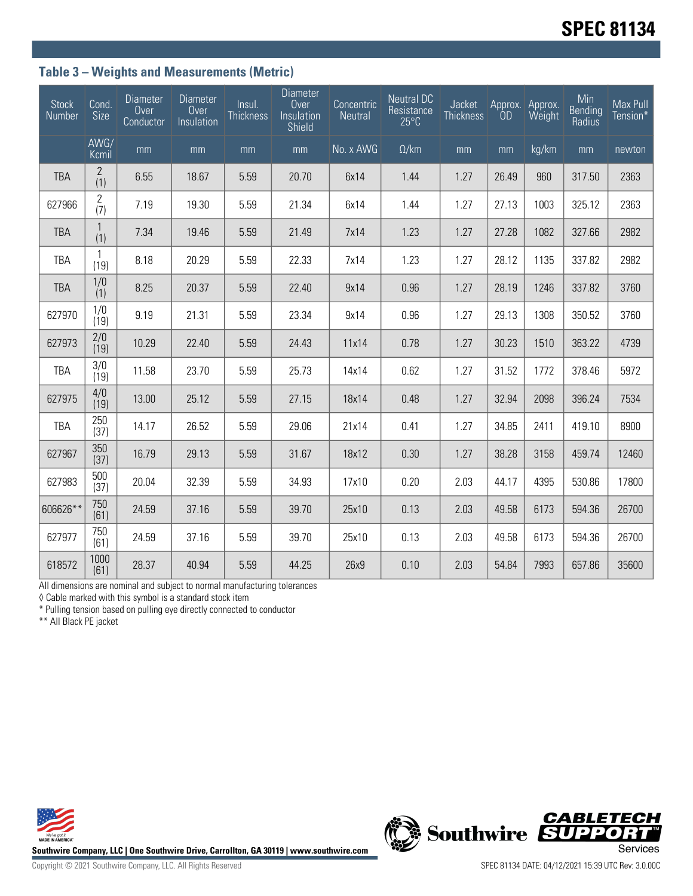## **Table 3 – Weights and Measurements (Metric)**

| <b>Stock</b><br>Number | Cond.<br>Size         | <b>Diameter</b><br>Over<br>Conductor | <b>Diameter</b><br>Over<br>Insulation | Insul.<br><b>Thickness</b> | <b>Diameter</b><br>Over<br>Insulation<br>Shield | Concentric<br>Neutral | <b>Neutral DC</b><br>Resistance<br>$25^{\circ}$ C | Jacket<br><b>Thickness</b> | 0 <sub>D</sub> | Approx. Approx.<br>Weight | Min<br>Bending<br>Radius | Max Pull<br>Tension* |
|------------------------|-----------------------|--------------------------------------|---------------------------------------|----------------------------|-------------------------------------------------|-----------------------|---------------------------------------------------|----------------------------|----------------|---------------------------|--------------------------|----------------------|
|                        | AWG/<br>Kcmil         | mm                                   | mm                                    | mm                         | mm                                              | No. x AWG             | $\Omega$ /km                                      | mm                         | mm             | kg/km                     | mm                       | newton               |
| <b>TBA</b>             | $\overline{2}$<br>(1) | 6.55                                 | 18.67                                 | 5.59                       | 20.70                                           | 6x14                  | 1.44                                              | 1.27                       | 26.49          | 960                       | 317.50                   | 2363                 |
| 627966                 | $\mathbf{2}$<br>(7)   | 7.19                                 | 19.30                                 | 5.59                       | 21.34                                           | 6x14                  | 1.44                                              | 1.27                       | 27.13          | 1003                      | 325.12                   | 2363                 |
| <b>TBA</b>             | $\mathbf{1}$<br>(1)   | 7.34                                 | 19.46                                 | 5.59                       | 21.49                                           | 7x14                  | 1.23                                              | 1.27                       | 27.28          | 1082                      | 327.66                   | 2982                 |
| TBA                    | $\mathbf{1}$<br>(19)  | 8.18                                 | 20.29                                 | 5.59                       | 22.33                                           | 7x14                  | 1.23                                              | 1.27                       | 28.12          | 1135                      | 337.82                   | 2982                 |
| <b>TBA</b>             | 1/0<br>(1)            | 8.25                                 | 20.37                                 | 5.59                       | 22.40                                           | 9x14                  | 0.96                                              | 1.27                       | 28.19          | 1246                      | 337.82                   | 3760                 |
| 627970                 | 1/0<br>(19)           | 9.19                                 | 21.31                                 | 5.59                       | 23.34                                           | 9x14                  | 0.96                                              | 1.27                       | 29.13          | 1308                      | 350.52                   | 3760                 |
| 627973                 | 2/0<br>(19)           | 10.29                                | 22.40                                 | 5.59                       | 24.43                                           | 11x14                 | 0.78                                              | 1.27                       | 30.23          | 1510                      | 363.22                   | 4739                 |
| TBA                    | 3/0<br>(19)           | 11.58                                | 23.70                                 | 5.59                       | 25.73                                           | 14x14                 | 0.62                                              | 1.27                       | 31.52          | 1772                      | 378.46                   | 5972                 |
| 627975                 | 4/0<br>(19)           | 13.00                                | 25.12                                 | 5.59                       | 27.15                                           | 18x14                 | 0.48                                              | 1.27                       | 32.94          | 2098                      | 396.24                   | 7534                 |
| TBA                    | 250<br>(37)           | 14.17                                | 26.52                                 | 5.59                       | 29.06                                           | 21x14                 | 0.41                                              | 1.27                       | 34.85          | 2411                      | 419.10                   | 8900                 |
| 627967                 | 350<br>(37)           | 16.79                                | 29.13                                 | 5.59                       | 31.67                                           | 18x12                 | 0.30                                              | 1.27                       | 38.28          | 3158                      | 459.74                   | 12460                |
| 627983                 | 500<br>(37)           | 20.04                                | 32.39                                 | 5.59                       | 34.93                                           | 17x10                 | 0.20                                              | 2.03                       | 44.17          | 4395                      | 530.86                   | 17800                |
| 606626**               | 750<br>(61)           | 24.59                                | 37.16                                 | 5.59                       | 39.70                                           | 25x10                 | 0.13                                              | 2.03                       | 49.58          | 6173                      | 594.36                   | 26700                |
| 627977                 | 750<br>(61)           | 24.59                                | 37.16                                 | 5.59                       | 39.70                                           | 25x10                 | 0.13                                              | 2.03                       | 49.58          | 6173                      | 594.36                   | 26700                |
| 618572                 | 1000<br>(61)          | 28.37                                | 40.94                                 | 5.59                       | 44.25                                           | 26x9                  | 0.10                                              | 2.03                       | 54.84          | 7993                      | 657.86                   | 35600                |

All dimensions are nominal and subject to normal manufacturing tolerances

◊ Cable marked with this symbol is a standard stock item

\* Pulling tension based on pulling eye directly connected to conductor

\*\* All Black PE jacket